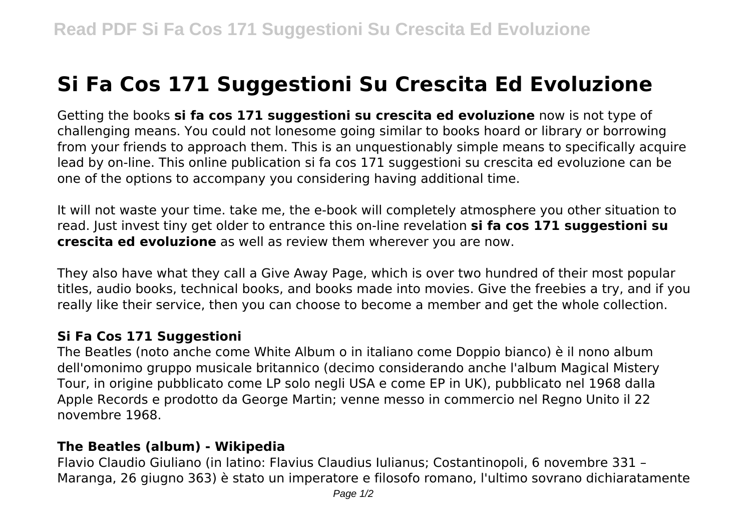## **Si Fa Cos 171 Suggestioni Su Crescita Ed Evoluzione**

Getting the books **si fa cos 171 suggestioni su crescita ed evoluzione** now is not type of challenging means. You could not lonesome going similar to books hoard or library or borrowing from your friends to approach them. This is an unquestionably simple means to specifically acquire lead by on-line. This online publication si fa cos 171 suggestioni su crescita ed evoluzione can be one of the options to accompany you considering having additional time.

It will not waste your time. take me, the e-book will completely atmosphere you other situation to read. Just invest tiny get older to entrance this on-line revelation **si fa cos 171 suggestioni su crescita ed evoluzione** as well as review them wherever you are now.

They also have what they call a Give Away Page, which is over two hundred of their most popular titles, audio books, technical books, and books made into movies. Give the freebies a try, and if you really like their service, then you can choose to become a member and get the whole collection.

## **Si Fa Cos 171 Suggestioni**

The Beatles (noto anche come White Album o in italiano come Doppio bianco) è il nono album dell'omonimo gruppo musicale britannico (decimo considerando anche l'album Magical Mistery Tour, in origine pubblicato come LP solo negli USA e come EP in UK), pubblicato nel 1968 dalla Apple Records e prodotto da George Martin; venne messo in commercio nel Regno Unito il 22 novembre 1968.

## **The Beatles (album) - Wikipedia**

Flavio Claudio Giuliano (in latino: Flavius Claudius Iulianus; Costantinopoli, 6 novembre 331 – Maranga, 26 giugno 363) è stato un imperatore e filosofo romano, l'ultimo sovrano dichiaratamente